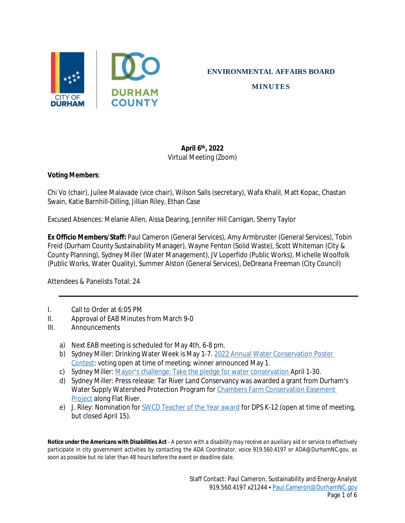

**MINUTES**

### **April 6 th, 2022** Virtual Meeting (Zoom)

#### **Voting Members**:

Chi Vo (chair), Juilee Malavade (vice chair), Wilson Salls (secretary), Wafa Khalil, Matt Kopac, Chastan Swain, Katie Barnhill-Dilling, Jillian Riley, Ethan Case

Excused Absences: Melanie Allen, Aissa Dearing, Jennifer Hill Carrigan, Sherry Taylor

**Ex Officio Members/Staff:** Paul Cameron (General Services), Amy Armbruster (General Services), Tobin Freid (Durham County Sustainability Manager), Wayne Fenton (Solid Waste), Scott Whiteman (City & County Planning), Sydney Miller (Water Management), JV Loperfido (Public Works), Michelle Woolfolk (Public Works, Water Quality), Summer Alston (General Services), DeDreana Freeman (City Council)

Attendees & Panelists Total: 24

- I. Call to Order at 6:05 PM
- II. Approval of EAB Minutes from March 9-0
- III. Announcements
	- a) Next EAB meeting is scheduled for May 4th, 6-8 pm.
	- b) Sydney Miller: Drinking Water Week is May 1-7. [2022 Annual Water Conservation Poster](https://durhamwater.shortstack.page/BXgCCZ) Contest: voting open at time of meeting; winner announced May 1.
	- c) Sydney Miller: Mayor'[s challenge:](https://www.durhamnc.gov/CivicAlerts.aspx?AID=3132) Take the pledge for water conservation April 1-30.
	- d) Sydney Miller: Press release: Tar River Land Conservancy was awarded a grant from Durham's Water Supply Watershed Protection Program for Chambers Farm Conservation Easement **Project along Flat River.**
	- e) J. Riley: Nomination for [SWCD Teacher of the Year award](https://www.dconc.gov/home/showpublisheddocument/36410) for DPS K-12 (open at time of meeting, [but closed April 15\).](https://www.dconc.gov/home/showpublisheddocument/36410)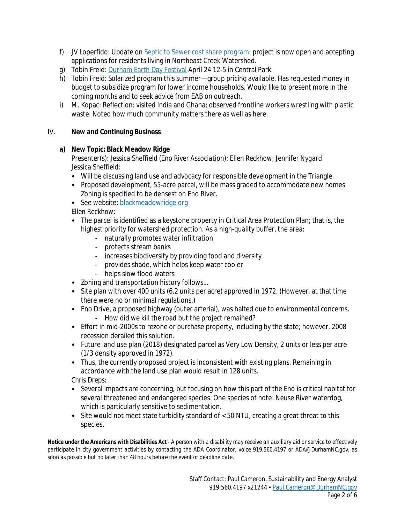- f) JV Loperfido: Update on [Septic to Sewer cost share program: project is now open and accepting](https://www.durhamnc.gov/4592/Septic-to-Sewer-Project)  [applications for residents living in Northeast Creek Watershed.](https://www.durhamnc.gov/4592/Septic-to-Sewer-Project)
- g) [Tobin](https://www.durhamnc.gov/4592/Septic-to-Sewer-Project) [Freid:](https://www.durhamnc.gov/4592/Septic-to-Sewer-Project) [Durham Earth Day Festival](https://www.dprplaymore.org/299/Earth-Day-Festival) [April 24 12-5](https://www.dprplaymore.org/299/Earth-Day-Festival) [in Central Park.](https://www.dprplaymore.org/299/Earth-Day-Festival)
- h) [Tobin](https://www.dprplaymore.org/299/Earth-Day-Festival) [Freid: Solarized program this summer](https://www.dprplaymore.org/299/Earth-Day-Festival)[—](https://www.dprplaymore.org/299/Earth-Day-Festival)[group pricing available. Has requested money in](https://www.dprplaymore.org/299/Earth-Day-Festival)  [budget to subsidize program for lower income households. Would like to present more in the](https://www.dprplaymore.org/299/Earth-Day-Festival)  [coming months and to seek advice from EAB on outreach.](https://www.dprplaymore.org/299/Earth-Day-Festival)
- i) [M.](https://www.dprplaymore.org/299/Earth-Day-Festival) Kopac: Reflection: visited India and Ghana; observed frontline workers wrestling with plastic [waste. Noted how much community matters there as well as here.](https://www.dprplaymore.org/299/Earth-Day-Festival)

### [IV.](https://www.dprplaymore.org/299/Earth-Day-Festival) **[New and Continuing Business](https://www.dprplaymore.org/299/Earth-Day-Festival)**

### **a) [New Topic: Black Meadow Ridge](https://www.dprplaymore.org/299/Earth-Day-Festival)**

*[Presenter\(s\): Jessica Sheffield \(Eno River Association\); Ellen Reckhow; Jennifer](https://www.dprplaymore.org/299/Earth-Day-Festival) [Nygard](https://www.dprplaymore.org/299/Earth-Day-Festival) [Jessica Sheffield:](https://www.dprplaymore.org/299/Earth-Day-Festival)*

- [Will be discussing land use and advocacy for responsible development in the Triangle.](https://www.dprplaymore.org/299/Earth-Day-Festival)
- [Proposed development, 55-acre parcel, will be mass graded to accommodate new homes.](https://www.dprplaymore.org/299/Earth-Day-Festival)  [Zoning is specified to be densest on Eno River.](https://www.dprplaymore.org/299/Earth-Day-Festival)
- [See website:](https://www.dprplaymore.org/299/Earth-Day-Festival) [blackmeadowridge.org](http://blackmeadowridge.org)

*Ellen Reckhow:*

- The parcel is identified as a keystone property in Critical Area Protection Plan; that is, the highest priority for watershed protection. As a high-quality buffer, the area:
	- naturally promotes water infiltration
	- protects stream banks
	- increases biodiversity by providing food and diversity
	- provides shade, which helps keep water cooler
	- helps slow flood waters
- Zoning and transportation history follows…
- Site plan with over 400 units (6.2 units per acre) approved in 1972. (However, at that time there were no or minimal regulations.)
- Eno Drive, a proposed highway (outer arterial), was halted due to environmental concerns. - How did we kill the road but the project remained?
- Effort in mid-2000s to rezone or purchase property, including by the state; however, 2008 recession derailed this solution.
- Future land use plan (2018) designated parcel as Very Low Density, 2 units or less per acre (1/3 density approved in 1972).
- Thus, the currently proposed project is inconsistent with existing plans. Remaining in accordance with the land use plan would result in 128 units.

*Chris Dreps:*

- Several impacts are concerning, but focusing on how this part of the Eno is critical habitat for several threatened and endangered species. One species of note: Neuse River waterdog, which is particularly sensitive to sedimentation.
- Site would not meet state turbidity standard of < 50 NTU, creating a great threat to this species.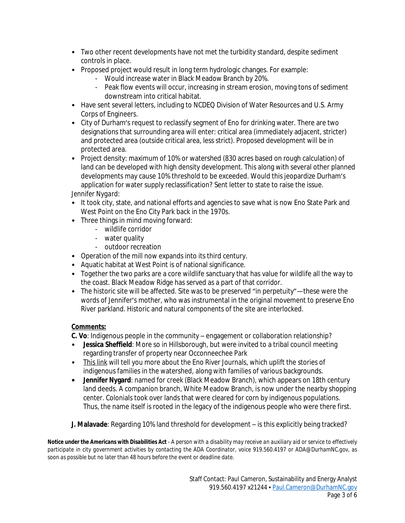- Two other recent developments have not met the turbidity standard, despite sediment controls in place.
- Proposed project would result in long term hydrologic changes. For example:
	- Would increase water in Black Meadow Branch by 20%.
	- Peak flow events will occur, increasing in stream erosion, moving tons of sediment downstream into critical habitat.
- Have sent several letters, including to NCDEQ Division of Water Resources and U.S. Army Corps of Engineers.
- City of Durham's request to reclassify segment of Eno for drinking water. There are two designations that surrounding area will enter: critical area (immediately adjacent, stricter) and protected area (outside critical area, less strict). Proposed development will be in protected area.
- Project density: maximum of 10% or watershed (830 acres based on rough calculation) of land can be developed with high density development. This along with several other planned developments may cause 10% threshold to be exceeded. Would this jeopardize Durham's application for water supply reclassification? Sent letter to state to raise the issue.

*Jennifer Nygard:*

- It took city, state, and national efforts and agencies to save what is now Eno State Park and West Point on the Eno City Park back in the 1970s.
- Three things in mind moving forward:
	- wildlife corridor
	- water quality
	- outdoor recreation
- Operation of the mill now expands into its third century.
- Aquatic habitat at West Point is of national significance.
- Together the two parks are a core wildlife sanctuary that has value for wildlife all the way to the coast. Black Meadow Ridge has served as a part of that corridor.
- The historic site will be affected. Site was to be preserved "in perpetuity"—these were the words of Jennifer's mother, who was instrumental in the original movement to preserve Eno River parkland. Historic and natural components of the site are interlocked.

# **Comments:**

**C. Vo**: Indigenous people in the community – engagement or collaboration relationship?

- **Jessica Sheffield**: More so in Hillsborough, but were invited to a tribal council meeting regarding transfer of property near Occonneechee Park
- [This link](https://www.enoriver.org/eno-river-association-publishes-first-eno-journal-in-twenty-years/) will tell you more about the Eno River Journals, which uplift the stories of indigenous families in the watershed, along with families of various backgrounds.
- **• Jennifer Nygard**: named for creek (Black Meadow Branch), which appears on 18th century land deeds. A companion branch, White Meadow Branch, is now under the nearby shopping center. Colonials took over lands that were cleared for corn by indigenous populations. Thus, the name itself is rooted in the legacy of the indigenous people who were there first.
- **J. Malavade**: Regarding 10% land threshold for development is this explicitly being tracked?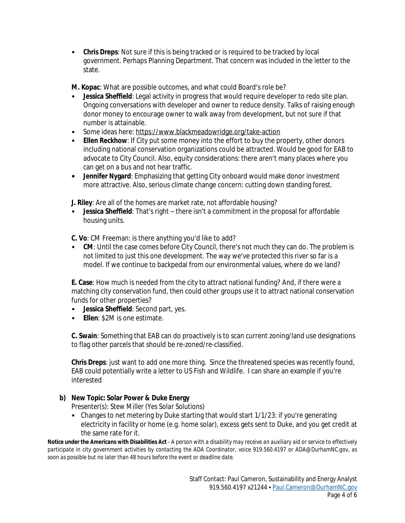• **Chris Dreps**: Not sure if this is being tracked or is required to be tracked by local government. Perhaps Planning Department. That concern was included in the letter to the state.

**M. Kopac**: What are possible outcomes, and what could Board's role be?

- **Jessica Sheffield**: Legal activity in progress that would require developer to redo site plan. Ongoing conversations with developer and owner to reduce density. Talks of raising enough donor money to encourage owner to walk away from development, but not sure if that number is attainable.
- Some ideas here:<https://www.blackmeadowridge.org/take-action>
- **Ellen Reckhow**: If City put some money into the effort to buy the property, other donors including national conservation organizations could be attracted. Would be good for EAB to advocate to City Council. Also, equity considerations: there aren't many places where you can get on a bus and not hear traffic.
- **• Jennifer Nygard**: Emphasizing that getting City onboard would make donor investment more attractive. Also, serious climate change concern: cutting down standing forest.

**J. Riley**: Are all of the homes are market rate, not affordable housing?

• **Jessica Sheffield**: That's right – there isn't a commitment in the proposal for affordable housing units.

**C. Vo**: CM Freeman: is there anything you'd like to add?

• **CM**: Until the case comes before City Council, there's not much they can do. The problem is not limited to just this one development. The way we've protected this river so far is a model. If we continue to backpedal from our environmental values, where do we land?

**E. Case**: How much is needed from the city to attract national funding? And, if there were a matching city conservation fund, then could other groups use it to attract national conservation funds for other properties?

- **Jessica Sheffield**: Second part, yes.
- **Ellen**: \$2M is one estimate.

**C. Swain**: Something that EAB can do proactively is to scan current zoning/land use designations to flag other parcels that should be re-zoned/re-classified.

**Chris Dreps**: just want to add one more thing. Since the threatened species was recently found, EAB could potentially write a letter to US Fish and Wildlife. I can share an example if you're interested

# **b) New Topic: Solar Power & Duke Energy**

*Presenter(s): Stew Miller (Yes Solar Solutions)*

• Changes to net metering by Duke starting that would start 1/1/23: if you're generating electricity in facility or home (e.g. home solar), excess gets sent to Duke, and you get credit at the same rate for it.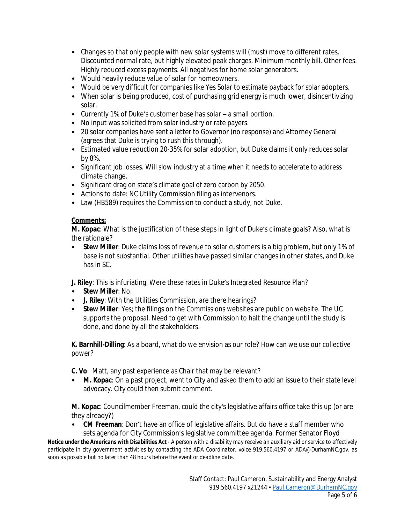- Changes so that *only* people with new solar systems will (must) move to different rates. Discounted normal rate, but highly elevated peak charges. Minimum monthly bill. Other fees. Highly reduced excess payments. All negatives for home solar generators.
- Would heavily reduce value of solar for homeowners.
- Would be very difficult for companies like Yes Solar to estimate payback for solar adopters.
- When solar is being produced, cost of purchasing grid energy is much lower, disincentivizing solar.
- Currently 1% of Duke's customer base has solar a small portion.
- No input was solicited from solar industry or rate payers.
- 20 solar companies have sent a letter to Governor (no response) and Attorney General (agrees that Duke is trying to rush this through).
- Estimated value reduction 20-35% for solar adoption, but Duke claims it only reduces solar by 8%.
- Significant job losses. Will slow industry at a time when it needs to accelerate to address climate change.
- Significant drag on state's climate goal of zero carbon by 2050.
- Actions to date: NC Utility Commission filing as intervenors.
- Law (HB589) requires the Commission to conduct a study, not Duke.

### **Comments:**

**M. Kopac**: What is the justification of these steps in light of Duke's climate goals? Also, what is the rationale?

• **Stew Miller**: Duke claims loss of revenue to solar customers is a big problem, but only 1% of base is not substantial. Other utilities have passed similar changes in other states, and Duke has in SC.

**J. Riley**: This is infuriating. Were these rates in Duke's Integrated Resource Plan?

- **Stew Miller**: No.
- **J. Riley**: With the Utilities Commission, are there hearings?
- **Stew Miller**: Yes; the filings on the Commissions websites are public on website. The UC supports the proposal. Need to get with Commission to halt the change until the study is done, and done by all the stakeholders.

**K. Barnhill-Dilling**: As a board, what do we envision as our role? How can we use our collective power?

**C. Vo**: Matt, any past experience as Chair that may be relevant?

• **M. Kopac**: On a past project, went to City and asked them to add an issue to their state level advocacy. City could then submit comment.

**M. Kopac**: Councilmember Freeman, could the city's legislative affairs office take this up (or are they already?)

• **CM Freeman**: Don't have an office of legislative affairs. But do have a staff member who sets agenda for City Commission's legislative committee agenda. Former Senator Floyd